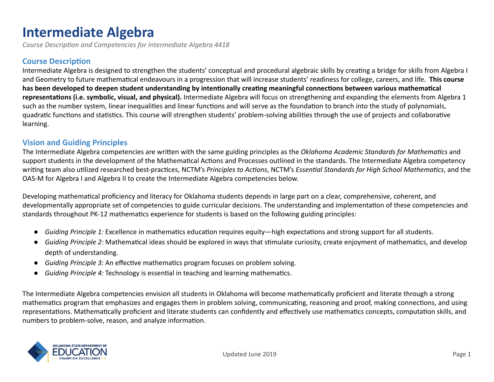# **Intermediate Algebra**

Course Description and Competencies for Intermediate Algebra 4418

#### **Course Description**

Intermediate Algebra is designed to strengthen the students' conceptual and procedural algebraic skills by creating a bridge for skills from Algebra I and Geometry to future mathematical endeavours in a progression that will increase students' readiness for college, careers, and life. This course has been developed to deepen student understanding by intentionally creating meaningful connections between various mathematical representations (i.e. symbolic, visual, and physical). Intermediate Algebra will focus on strengthening and expanding the elements from Algebra 1 such as the number system, linear inequalities and linear functions and will serve as the foundation to branch into the study of polynomials, quadratic functions and statistics. This course will strengthen students' problem-solving abilities through the use of projects and collaborative learning.

#### **Vision and Guiding Principles**

The Intermediate Algebra competencies are written with the same guiding principles as the *Oklahoma Academic Standards for Mathematics* and support students in the development of the Mathematical Actions and Processes outlined in the standards. The Intermediate Algebra competency writing team also utilized researched best-practices, NCTM's *Principles to Actions*, NCTM's *Essential Standards for High School Mathematics*, and the OAS-M for Algebra I and Algebra II to create the Intermediate Algebra competencies below.

Developing mathematical proficiency and literacy for Oklahoma students depends in large part on a clear, comprehensive, coherent, and developmentally appropriate set of competencies to guide curricular decisions. The understanding and implementation of these competencies and standards throughout PK-12 mathematics experience for students is based on the following guiding principles:

- *Guiding Principle 1:* Excellence in mathematics education requires equity—high expectations and strong support for all students.
- *Guiding Principle 2:* Mathematical ideas should be explored in ways that stimulate curiosity, create enjoyment of mathematics, and develop depth of understanding.
- *Guiding Principle 3:* An effective mathematics program focuses on problem solving.
- *Guiding Principle 4:* Technology is essential in teaching and learning mathematics.

The Intermediate Algebra competencies envision all students in Oklahoma will become mathematically proficient and literate through a strong mathematics program that emphasizes and engages them in problem solving, communicating, reasoning and proof, making connections, and using representations. Mathematically proficient and literate students can confidently and effectively use mathematics concepts, computation skills, and numbers to problem-solve, reason, and analyze information.

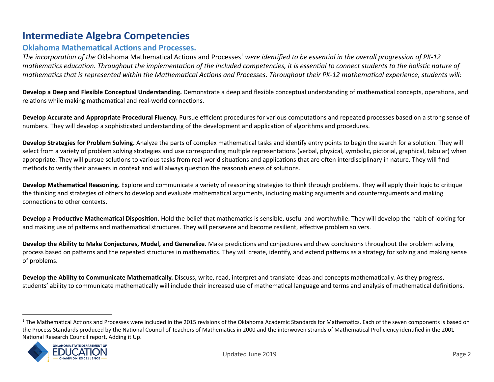# **Intermediate Algebra Competencies**

#### **Oklahoma Mathematical Actions and Processes.**

*The incorporation of the Oklahoma Mathematical Actions and Processes<sup>1</sup> were identified to be essential in the overall progression of PK-12 mathematics education. Throughout the implementation of the included competencies, it is essential to connect students to the holistic nature of mathematics that is represented within the Mathematical Actions and Processes. Throughout their PK-12 mathematical experience, students will:* 

**Develop a Deep and Flexible Conceptual Understanding.** Demonstrate a deep and flexible conceptual understanding of mathematical concepts, operations, and relations while making mathematical and real-world connections.

**Develop Accurate and Appropriate Procedural Fluency. Pursue efficient procedures for various computations and repeated processes based on a strong sense of** numbers. They will develop a sophisticated understanding of the development and application of algorithms and procedures.

**Develop Strategies for Problem Solving.** Analyze the parts of complex mathematical tasks and identify entry points to begin the search for a solution. They will select from a variety of problem solving strategies and use corresponding multiple representations (verbal, physical, symbolic, pictorial, graphical, tabular) when appropriate. They will pursue solutions to various tasks from real-world situations and applications that are often interdisciplinary in nature. They will find methods to verify their answers in context and will always question the reasonableness of solutions.

**Develop Mathematical Reasoning.** Explore and communicate a variety of reasoning strategies to think through problems. They will apply their logic to critique the thinking and strategies of others to develop and evaluate mathematical arguments, including making arguments and counterarguments and making connections to other contexts.

**Develop a Productive Mathematical Disposition.** Hold the belief that mathematics is sensible, useful and worthwhile. They will develop the habit of looking for and making use of patterns and mathematical structures. They will persevere and become resilient, effective problem solvers.

**Develop the Ability to Make Conjectures, Model, and Generalize.** Make predictions and conjectures and draw conclusions throughout the problem solving process based on patterns and the repeated structures in mathematics. They will create, identify, and extend patterns as a strategy for solving and making sense of problems.

**Develop the Ability to Communicate Mathematically.** Discuss, write, read, interpret and translate ideas and concepts mathematically. As they progress, students' ability to communicate mathematically will include their increased use of mathematical language and terms and analysis of mathematical definitions.

<sup>&</sup>lt;sup>1</sup> The Mathematical Actions and Processes were included in the 2015 revisions of the Oklahoma Academic Standards for Mathematics. Each of the seven components is based on the Process Standards produced by the National Council of Teachers of Mathematics in 2000 and the interwoven strands of Mathematical Proficiency identified in the 2001 National Research Council report, Adding it Up.

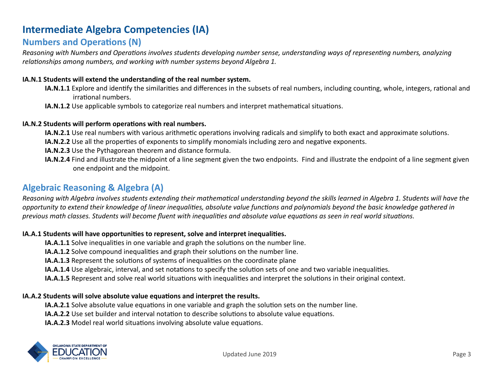# **Intermediate Algebra Competencies (IA)**

# **Numbers and Operations (N)**

*Reasoning with Numbers and Operations involves students developing number sense, understanding ways of representing numbers, analyzing relationships among numbers, and working with number systems beyond Algebra 1.* 

#### **IA.N.1 Students will extend the understanding of the real number system.**

- **IA.N.1.1** Explore and identify the similarities and differences in the subsets of real numbers, including counting, whole, integers, rational and irrational numbers.
- **IA.N.1.2** Use applicable symbols to categorize real numbers and interpret mathematical situations.

#### **IA.N.2 Students will perform operations with real numbers.**

- IA.N.2.1 Use real numbers with various arithmetic operations involving radicals and simplify to both exact and approximate solutions.
- **IA.N.2.2** Use all the properties of exponents to simplify monomials including zero and negative exponents.
- **IA.N.2.3** Use the Pythagorean theorem and distance formula.
- **IA.N.2.4** Find and illustrate the midpoint of a line segment given the two endpoints. Find and illustrate the endpoint of a line segment given one endpoint and the midpoint.

# **Algebraic Reasoning & Algebra (A)**

*Reasoning with Algebra involves students extending their mathematical understanding beyond the skills learned in Algebra 1. Students will have the opportunity to extend their knowledge of linear inequalities, absolute value functions and polynomials beyond the basic knowledge gathered in* previous math classes. Students will become fluent with inequalities and absolute value equations as seen in real world situations.

#### IA.A.1 Students will have opportunities to represent, solve and interpret inequalities.

**IA.A.1.1** Solve inequalities in one variable and graph the solutions on the number line.

**IA.A.1.2** Solve compound inequalities and graph their solutions on the number line.

**IA.A.1.3** Represent the solutions of systems of inequalities on the coordinate plane

**IA.A.1.4** Use algebraic, interval, and set notations to specify the solution sets of one and two variable inequalities.

**IA.A.1.5** Represent and solve real world situations with inequalities and interpret the solutions in their original context.

#### IA.A.2 Students will solve absolute value equations and interpret the results.

**IA.A.2.1** Solve absolute value equations in one variable and graph the solution sets on the number line.

**IA.A.2.2** Use set builder and interval notation to describe solutions to absolute value equations.

**IA.A.2.3** Model real world situations involving absolute value equations.

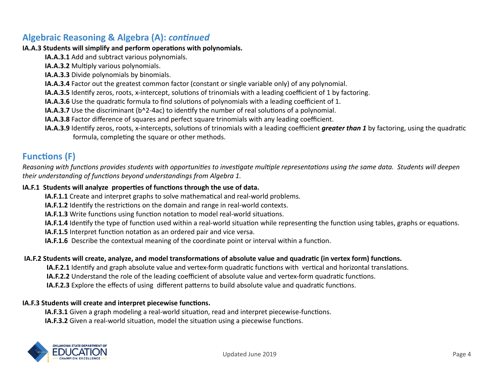# **Algebraic Reasoning & Algebra (A):** *continued*

#### **IA.A.3 Students will simplify and perform operations with polynomials.**

- **IA.A.3.1** Add and subtract various polynomials.
- **IA.A.3.2** Multiply various polynomials.
- **IA.A.3.3** Divide polynomials by binomials.
- **IA.A.3.4** Factor out the greatest common factor (constant or single variable only) of any polynomial.
- **IA.A.3.5** Identify zeros, roots, x-intercept, solutions of trinomials with a leading coefficient of 1 by factoring.
- **IA.A.3.6** Use the quadratic formula to find solutions of polynomials with a leading coefficient of 1.
- **IA.A.3.7** Use the discriminant (b^2-4ac) to identify the number of real solutions of a polynomial.
- **IA.A.3.8** Factor difference of squares and perfect square trinomials with any leading coefficient.
- **IA.A.3.9** Identify zeros, roots, x-intercepts, solutions of trinomials with a leading coefficient *greater than 1* by factoring, using the quadratic formula, completing the square or other methods.

# **Functions** (F)

*Reasoning with functions provides students with opportunities to investigate multiple representations using the same data. Students will deepen* their understanding of functions beyond understandings from Algebra 1.

#### IA.F.1 Students will analyze properties of functions through the use of data.

- **IA.F.1.1** Create and interpret graphs to solve mathematical and real-world problems.
- **IA.F.1.2** Identify the restrictions on the domain and range in real-world contexts.
- **IA.F.1.3** Write functions using function notation to model real-world situations.
- **IA.F.1.4** Identify the type of function used within a real-world situation while representing the function using tables, graphs or equations.
- **IA.F.1.5** Interpret function notation as an ordered pair and vice versa.
- **IA.F.1.6** Describe the contextual meaning of the coordinate point or interval within a function.

#### **IA.F.2 Students will create, analyze, and model transformations of absolute value and quadratic (in vertex form) functions.**

- **IA.F.2.1** Identify and graph absolute value and vertex-form quadratic functions with vertical and horizontal translations.
- **IA.F.2.2** Understand the role of the leading coefficient of absolute value and vertex-form quadratic functions.
- **IA.F.2.3** Explore the effects of using different patterns to build absolute value and quadratic functions.

#### **IA.F.3 Students will create and interpret piecewise functions.**

- **IA.F.3.1** Given a graph modeling a real-world situation, read and interpret piecewise-functions.
- **IA.F.3.2** Given a real-world situation, model the situation using a piecewise functions.